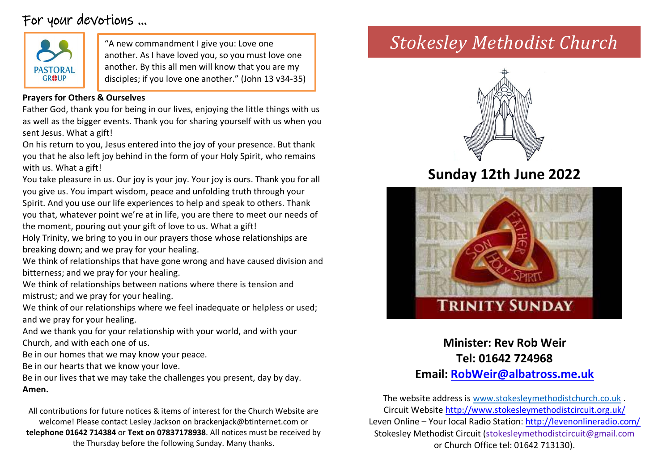# For your devotions …



another. As I have loved you, so you must love one another. By this all men will know that you are my disciples; if you love one another." (John 13 v34-35)

### **Prayers for Others & Ourselves**

Father God, thank you for being in our lives, enjoying the little things with us as well as the bigger events. Thank you for sharing yourself with us when you sent Jesus. What a gift!

On his return to you, Jesus entered into the joy of your presence. But thank you that he also left joy behind in the form of your Holy Spirit, who remains with us. What a gift!

You take pleasure in us. Our joy is your joy. Your joy is ours. Thank you for all you give us. You impart wisdom, peace and unfolding truth through your Spirit. And you use our life experiences to help and speak to others. Thank you that, whatever point we're at in life, you are there to meet our needs of the moment, pouring out your gift of love to us. What a gift!

Holy Trinity, we bring to you in our prayers those whose relationships are breaking down; and we pray for your healing.

We think of relationships that have gone wrong and have caused division and bitterness; and we pray for your healing.

We think of relationships between nations where there is tension and mistrust; and we pray for your healing.

We think of our relationships where we feel inadequate or helpless or used; and we pray for your healing.

And we thank you for your relationship with your world, and with your Church, and with each one of us.

Be in our homes that we may know your peace.

Be in our hearts that we know your love.

Be in our lives that we may take the challenges you present, day by day. **Amen.**

All contributions for future notices & items of interest for the Church Website are welcome! Please contact Lesley Jackson on [brackenjack@btinternet.com](mailto:brackenjack@btinternet.com) or **telephone 01642 714384** or **Text on 07837178938**. All notices must be received by the Thursday before the following Sunday. Many thanks.

# "A new commandment I give you: Love one *Stokesley Methodist Church*



# **Sunday 12th June 2022**



## **Minister: Rev Rob Weir Tel: 01642 724968 Email: [RobWeir@albatross.me.uk](mailto:RobWeir@albatross.me.uk)**

The website address is [www.stokesleymethodistchurch.co.uk](http://www.stokesleymethodistchurch.co.uk/) . Circuit Websit[e http://www.stokesleymethodistcircuit.org.uk/](http://www.stokesleymethodistcircuit.org.uk/) Leven Online – Your local Radio Station:<http://levenonlineradio.com/> Stokesley Methodist Circuit [\(stokesleymethodistcircuit@gmail.com](mailto:stokesleymethodistcircuit@gmail.com) or Church Office tel: 01642 713130).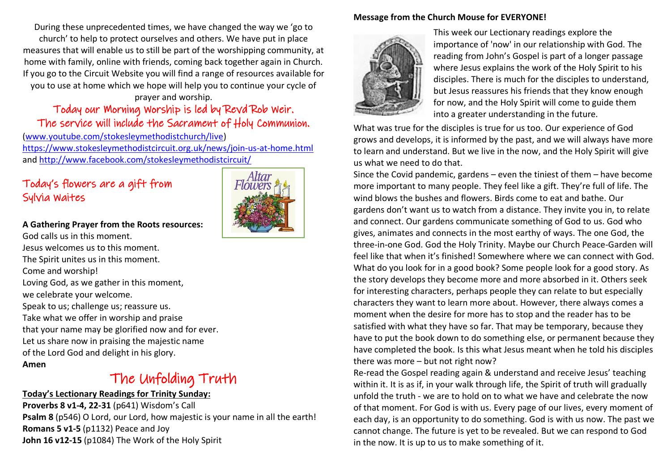During these unprecedented times, we have changed the way we 'go to church' to help to protect ourselves and others. We have put in place measures that will enable us to still be part of the worshipping community, at home with family, online with friends, coming back together again in Church. If you go to the Circuit Website you will find a range of resources available for you to use at home which we hope will help you to continue your cycle of

#### prayer and worship.

### Today our Morning Worship is led by Revd Rob Weir. The service will include the Sacrament of Holy Communion.

[\(www.youtube.com/stokesleymethodistchurch/live\)](http://www.youtube.com/stokesleymethodistchurch/live) <https://www.stokesleymethodistcircuit.org.uk/news/join-us-at-home.html> and<http://www.facebook.com/stokesleymethodistcircuit/>

### Today's flowers are a gift from Sylvia Waites

#### **A Gathering Prayer from the Roots resources:**

God calls us in this moment. Jesus welcomes us to this moment. The Spirit unites us in this moment. Come and worship! Loving God, as we gather in this moment, we celebrate your welcome. Speak to us; challenge us; reassure us. Take what we offer in worship and praise that your name may be glorified now and for ever. Let us share now in praising the majestic name of the Lord God and delight in his glory.

#### **Amen**

# The Unfolding Truth

#### **Today's Lectionary Readings for Trinity Sunday:**

**Proverbs 8 v1-4, 22-31** (p641) Wisdom's Call **Psalm 8** (p546) O Lord, our Lord, how majestic is your name in all the earth! **Romans 5 v1-5** (p1132) Peace and Joy **John 16 v12-15** (p1084) The Work of the Holy Spirit

#### **Message from the Church Mouse for EVERYONE!**



This week our Lectionary readings explore the importance of 'now' in our relationship with God. The reading from John's Gospel is part of a longer passage where Jesus explains the work of the Holy Spirit to his disciples. There is much for the disciples to understand, but Jesus reassures his friends that they know enough for now, and the Holy Spirit will come to guide them into a greater understanding in the future.

What was true for the disciples is true for us too. Our experience of God grows and develops, it is informed by the past, and we will always have more to learn and understand. But we live in the now, and the Holy Spirit will give us what we need to do that.

Since the Covid pandemic, gardens – even the tiniest of them – have become more important to many people. They feel like a gift. They're full of life. The wind blows the bushes and flowers. Birds come to eat and bathe. Our gardens don't want us to watch from a distance. They invite you in, to relate and connect. Our gardens communicate something of God to us. God who gives, animates and connects in the most earthy of ways. The one God, the three-in-one God. God the Holy Trinity. Maybe our Church Peace-Garden will feel like that when it's finished! Somewhere where we can connect with God. What do you look for in a good book? Some people look for a good story. As the story develops they become more and more absorbed in it. Others seek for interesting characters, perhaps people they can relate to but especially characters they want to learn more about. However, there always comes a moment when the desire for more has to stop and the reader has to be satisfied with what they have so far. That may be temporary, because they have to put the book down to do something else, or permanent because they have completed the book. Is this what Jesus meant when he told his disciples there was more – but not right now?

Re-read the Gospel reading again & understand and receive Jesus' teaching within it. It is as if, in your walk through life, the Spirit of truth will gradually unfold the truth - we are to hold on to what we have and celebrate the now of that moment. For God is with us. Every page of our lives, every moment of each day, is an opportunity to do something. God is with us now. The past we cannot change. The future is yet to be revealed. But we can respond to God in the now. It is up to us to make something of it.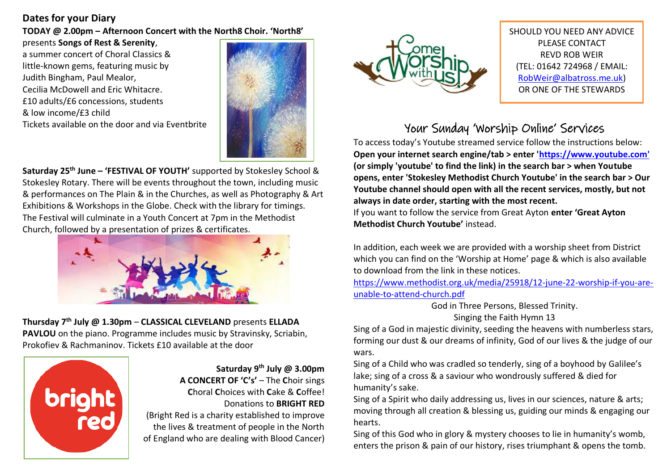### **Dates for your Diary**

**TODAY @ 2.00pm – Afternoon Concert with the North8 Choir. 'North8'**

presents **Songs of Rest & Serenity**, a summer concert of Choral Classics & little-known gems, featuring music by Judith Bingham, Paul Mealor, Cecilia McDowell and Eric Whitacre. £10 adults/£6 concessions, students & low income/£3 child Tickets available on the door and via Eventbrite



**Saturday 25th June – 'FESTIVAL OF YOUTH'** supported by Stokesley School & Stokesley Rotary. There will be events throughout the town, including music & performances on The Plain & in the Churches, as well as Photography & Art Exhibitions & Workshops in the Globe. Check with the library for timings. The Festival will culminate in a Youth Concert at 7pm in the Methodist Church, followed by a presentation of prizes & certificates.



**Thursday 7th July @ 1.30pm** – **CLASSICAL CLEVELAND** presents **ELLADA PAVLOU** on the piano. Programme includes music by Stravinsky, Scriabin, Prokofiev & Rachmaninov. Tickets £10 available at the door



**Saturday 9th July @ 3.00pm** 

**A CONCERT OF 'C's'** – The **C**hoir sings **C**horal **C**hoices with **C**ake & **C**offee! Donations to **BRIGHT RED** 

(Bright Red is a charity established to improve the lives & treatment of people in the North of England who are dealing with Blood Cancer)



SHOULD YOU NEED ANY ADVICE PLEASE CONTACT REVD ROB WEIR (TEL: 01642 724968 / EMAIL: [RobWeir@albatross.me.uk\)](mailto:RobWeir@albatross.me.uk) OR ONE OF THE STEWARDS

# Your Sunday 'Worship Online' Services

To access today's Youtube streamed service follow the instructions below: **Open your internet search engine/tab > enter ['https://www.youtube.com'](https://www.youtube.com/) (or simply 'youtube' to find the link) in the search bar > when Youtube opens, enter 'Stokesley Methodist Church Youtube' in the search bar > Our Youtube channel should open with all the recent services, mostly, but not always in date order, starting with the most recent.**

If you want to follow the service from Great Ayton **enter 'Great Ayton Methodist Church Youtube'** instead.

In addition, each week we are provided with a worship sheet from District which you can find on the 'Worship at Home' page & which is also available to download from the link in these notices.

[https://www.methodist.org.uk/media/25918/12-june-22-worship-if-you-are](https://www.methodist.org.uk/media/25918/12-june-22-worship-if-you-are-unable-to-attend-church.pdf)[unable-to-attend-church.pdf](https://www.methodist.org.uk/media/25918/12-june-22-worship-if-you-are-unable-to-attend-church.pdf)

> God in Three Persons, Blessed Trinity. Singing the Faith Hymn 13

Sing of a God in majestic divinity, seeding the heavens with numberless stars, forming our dust & our dreams of infinity, God of our lives & the judge of our wars.

Sing of a Child who was cradled so tenderly, sing of a boyhood by Galilee's lake; sing of a cross & a saviour who wondrously suffered & died for humanity's sake.

Sing of a Spirit who daily addressing us, lives in our sciences, nature & arts; moving through all creation & blessing us, guiding our minds & engaging our hearts.

Sing of this God who in glory & mystery chooses to lie in humanity's womb, enters the prison & pain of our history, rises triumphant & opens the tomb.